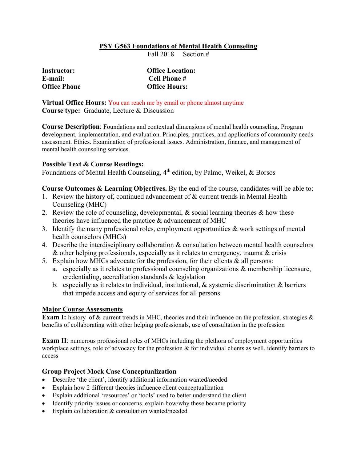# **PSY G563 Foundations of Mental Health Counseling**

Fall 2018 Section #

| Instructor:  | <b>Office Location:</b> |  |  |
|--------------|-------------------------|--|--|
| E-mail:      | Cell Phone #            |  |  |
| Office Phone | <b>Office Hours:</b>    |  |  |

**Virtual Office Hours:** You can reach me by email or phone almost anytime **Course type:** Graduate, Lecture & Discussion

**Course Description**: Foundations and contextual dimensions of mental health counseling. Program development, implementation, and evaluation. Principles, practices, and applications of community needs assessment. Ethics. Examination of professional issues. Administration, finance, and management of mental health counseling services.

### **Possible Text & Course Readings:**

Foundations of Mental Health Counseling, 4<sup>th</sup> edition, by Palmo, Weikel, & Borsos

### **Course Outcomes & Learning Objectives.** By the end of the course, candidates will be able to:

- 1. Review the history of, continued advancement of & current trends in Mental Health Counseling (MHC)
- 2. Review the role of counseling, developmental, & social learning theories & how these theories have influenced the practice & advancement of MHC
- 3. Identify the many professional roles, employment opportunities & work settings of mental health counselors (MHCs)
- 4. Describe the interdisciplinary collaboration & consultation between mental health counselors & other helping professionals, especially as it relates to emergency, trauma & crisis
- 5. Explain how MHCs advocate for the profession, for their clients & all persons:
	- a. especially as it relates to professional counseling organizations & membership licensure, credentialing, accreditation standards & legislation
	- b. especially as it relates to individual, institutional,  $\&$  systemic discrimination  $\&$  barriers that impede access and equity of services for all persons

# **Major Course Assessments**

**Exam I:** history of & current trends in MHC, theories and their influence on the profession, strategies & benefits of collaborating with other helping professionals, use of consultation in the profession

**Exam II**: numerous professional roles of MHCs including the plethora of employment opportunities workplace settings, role of advocacy for the profession & for individual clients as well, identify barriers to access

# **Group Project Mock Case Conceptualization**

- Describe 'the client', identify additional information wanted/needed
- Explain how 2 different theories influence client conceptualization
- Explain additional 'resources' or 'tools' used to better understand the client
- Identify priority issues or concerns, explain how/why these became priority
- Explain collaboration & consultation wanted/needed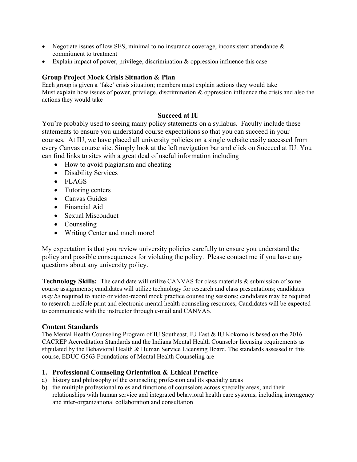- Negotiate issues of low SES, minimal to no insurance coverage, inconsistent attendance  $\&$ commitment to treatment
- Explain impact of power, privilege, discrimination & oppression influence this case

# **Group Project Mock Crisis Situation & Plan**

Each group is given a 'fake' crisis situation; members must explain actions they would take Must explain how issues of power, privilege, discrimination & oppression influence the crisis and also the actions they would take

# **Succeed at IU**

You're probably used to seeing many policy statements on a syllabus. Faculty include these statements to ensure you understand course expectations so that you can succeed in your courses. At IU, we have placed all university policies on a single website easily accessed from every Canvas course site. Simply look at the left navigation bar and click on Succeed at IU. You can find links to sites with a great deal of useful information including

- How to avoid plagiarism and cheating
- Disability Services
- FLAGS
- Tutoring centers
- Canvas Guides
- Financial Aid
- Sexual Misconduct
- Counseling
- Writing Center and much more!

My expectation is that you review university policies carefully to ensure you understand the policy and possible consequences for violating the policy. Please contact me if you have any questions about any university policy.

**Technology Skills:** The candidate will utilize CANVAS for class materials & submission of some course assignments; candidates will utilize technology for research and class presentations; candidates *may be* required to audio or video-record mock practice counseling sessions; candidates may be required to research credible print and electronic mental health counseling resources; Candidates will be expected to communicate with the instructor through e-mail and CANVAS.

# **Content Standards**

The Mental Health Counseling Program of IU Southeast, IU East & IU Kokomo is based on the 2016 CACREP Accreditation Standards and the Indiana Mental Health Counselor licensing requirements as stipulated by the Behavioral Health & Human Service Licensing Board. The standards assessed in this course, EDUC G563 Foundations of Mental Health Counseling are

# **1. Professional Counseling Orientation & Ethical Practice**

- a) history and philosophy of the counseling profession and its specialty areas
- b) the multiple professional roles and functions of counselors across specialty areas, and their relationships with human service and integrated behavioral health care systems, including interagency and inter-organizational collaboration and consultation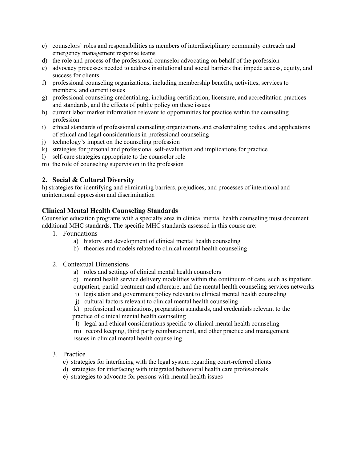- c) counselors' roles and responsibilities as members of interdisciplinary community outreach and emergency management response teams
- d) the role and process of the professional counselor advocating on behalf of the profession
- e) advocacy processes needed to address institutional and social barriers that impede access, equity, and success for clients
- f) professional counseling organizations, including membership benefits, activities, services to members, and current issues
- g) professional counseling credentialing, including certification, licensure, and accreditation practices and standards, and the effects of public policy on these issues
- h) current labor market information relevant to opportunities for practice within the counseling profession
- i) ethical standards of professional counseling organizations and credentialing bodies, and applications of ethical and legal considerations in professional counseling
- j) technology's impact on the counseling profession
- k) strategies for personal and professional self-evaluation and implications for practice
- l) self-care strategies appropriate to the counselor role
- m) the role of counseling supervision in the profession

# **2. Social & Cultural Diversity**

h) strategies for identifying and eliminating barriers, prejudices, and processes of intentional and unintentional oppression and discrimination

# **Clinical Mental Health Counseling Standards**

Counselor education programs with a specialty area in clinical mental health counseling must document additional MHC standards. The specific MHC standards assessed in this course are:

- 1. Foundations
	- a) history and development of clinical mental health counseling
	- b) theories and models related to clinical mental health counseling
- 2. Contextual Dimensions
	- a) roles and settings of clinical mental health counselors
	- c) mental health service delivery modalities within the continuum of care, such as inpatient,
	- outpatient, partial treatment and aftercare, and the mental health counseling services networks
	- i) legislation and government policy relevant to clinical mental health counseling
	- j) cultural factors relevant to clinical mental health counseling
	- k) professional organizations, preparation standards, and credentials relevant to the practice of clinical mental health counseling
	- l) legal and ethical considerations specific to clinical mental health counseling
	- m) record keeping, third party reimbursement, and other practice and management issues in clinical mental health counseling
- 3. Practice
	- c) strategies for interfacing with the legal system regarding court-referred clients
	- d) strategies for interfacing with integrated behavioral health care professionals
	- e) strategies to advocate for persons with mental health issues